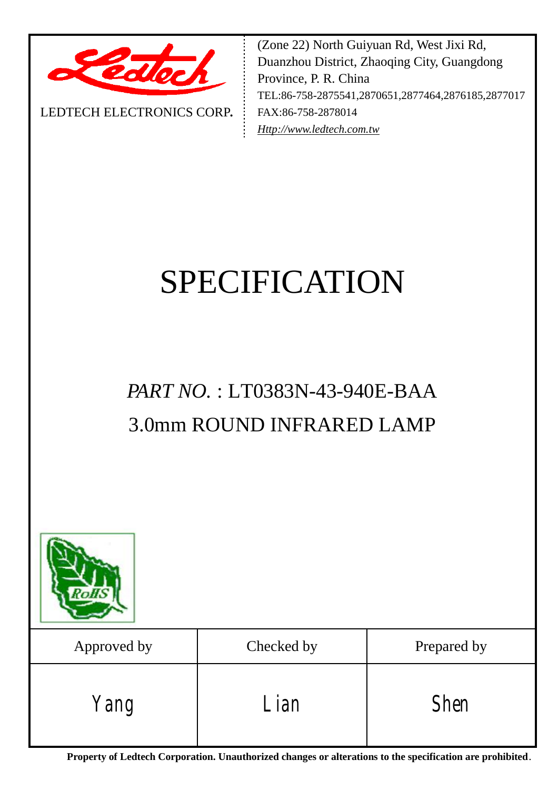

LEDTECH ELECTRONICS CORP**.**

(Zone 22) North Guiyuan Rd, West Jixi Rd, Duanzhou District, Zhaoqing City, Guangdong Province, P. R. China TEL:86-758-2875541,2870651,2877464,2876185,2877017 FAX:86-758-2878014 *[Http://www.ledtech.com.tw](http://www.ledtech.com.tw)*

# SPECIFICATION

## *PART NO.* : LT0383N-43-940E-BAA 3.0mm ROUND INFRARED LAMP



| Approved by | Checked by        | Prepared by |
|-------------|-------------------|-------------|
| Yang        | $\mathcal{L}$ ian | <b>Shen</b> |

**Property of Ledtech Corporation. Unauthorized changes or alterations to the specification are prohibited***.*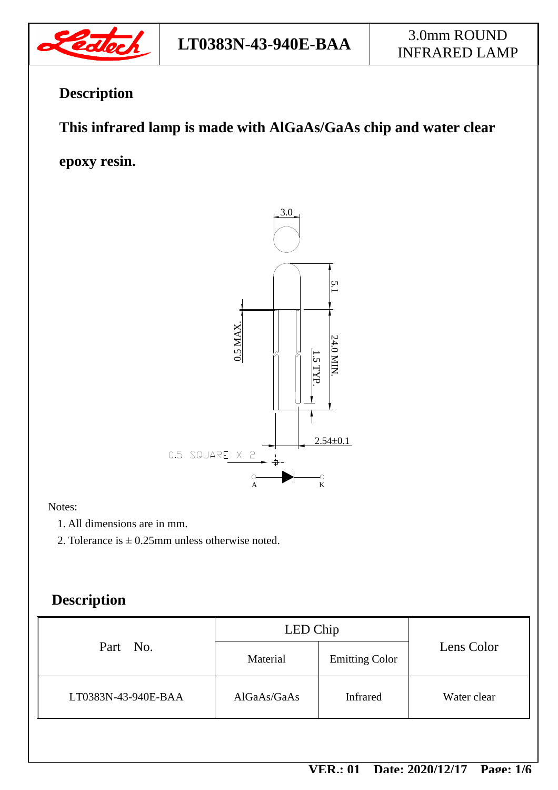

## **Description**

### **This infrared lamp is made with AlGaAs/GaAs chip and water clear**

**epoxy resin.** 



#### Notes:

- 1. All dimensions are in mm.
- 2. Tolerance is  $\pm$  0.25mm unless otherwise noted.

### **Description**

| Part No.            | LED Chip    |                       |             |  |
|---------------------|-------------|-----------------------|-------------|--|
|                     | Material    | <b>Emitting Color</b> | Lens Color  |  |
| LT0383N-43-940E-BAA | AIGaAs/GaAs | <b>Infrared</b>       | Water clear |  |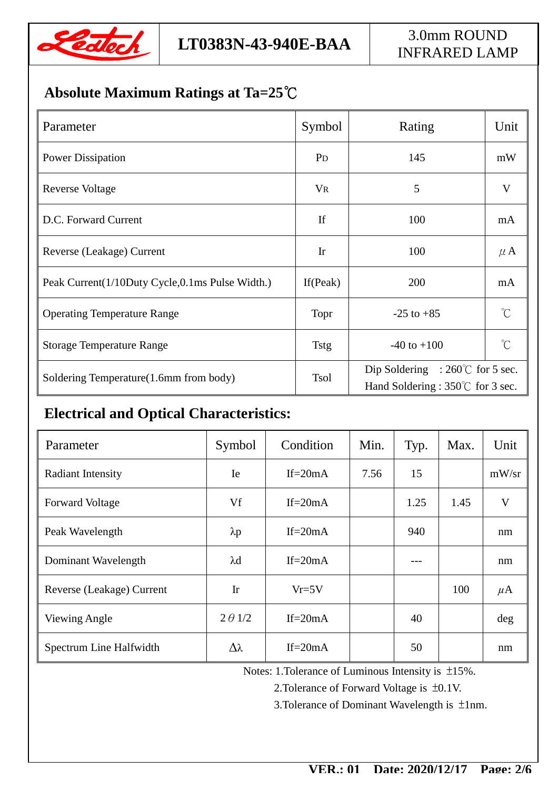

### **Absolute Maximum Ratings at Ta=25℃**

| Parameter                                       | Symbol         | Rating                                                                        | Unit                    |
|-------------------------------------------------|----------------|-------------------------------------------------------------------------------|-------------------------|
| <b>Power Dissipation</b>                        | P <sub>D</sub> | 145                                                                           | mW                      |
| <b>Reverse Voltage</b>                          | <b>VR</b>      | 5                                                                             | $\overline{\mathsf{V}}$ |
| D.C. Forward Current                            | If             | 100                                                                           | mA                      |
| Reverse (Leakage) Current                       | <b>Ir</b>      | 100                                                                           | $\mu$ A                 |
| Peak Current(1/10Duty Cycle,0.1ms Pulse Width.) | If $(Peak)$    | 200                                                                           | mA                      |
| <b>Operating Temperature Range</b>              | Topr           | $-25$ to $+85$                                                                | $\gamma$                |
| <b>Storage Temperature Range</b>                | <b>Tstg</b>    | $-40$ to $+100$                                                               | °∩°                     |
| Soldering Temperature(1.6mm from body)          | <b>Tsol</b>    | Dip Soldering : $260^{\circ}$ for 5 sec.<br>Hand Soldering : 350°C for 3 sec. |                         |

### **Electrical and Optical Characteristics:**

| Parameter                 | Symbol          | Condition  | Min. | Typ. | Max. | Unit    |
|---------------------------|-----------------|------------|------|------|------|---------|
| <b>Radiant Intensity</b>  | Ie              | If= $20mA$ | 7.56 | 15   |      | mW/sr   |
| <b>Forward Voltage</b>    | Vf              | If= $20mA$ |      | 1.25 | 1.45 | V       |
| Peak Wavelength           | $\lambda p$     | If= $20mA$ |      | 940  |      | nm      |
| Dominant Wavelength       | $\lambda$ d     | If= $20mA$ |      | ---  |      | nm      |
| Reverse (Leakage) Current | Ir              | $Vr=5V$    |      |      | 100  | $\mu$ A |
| <b>Viewing Angle</b>      | $2 \theta$ 1/2  | If= $20mA$ |      | 40   |      | deg     |
| Spectrum Line Halfwidth   | $\Delta\lambda$ | If= $20mA$ |      | 50   |      | nm      |

Notes: 1.Tolerance of Luminous Intensity is ±15%.

2.Tolerance of Forward Voltage is ±0.1V.

3.Tolerance of Dominant Wavelength is ±1nm.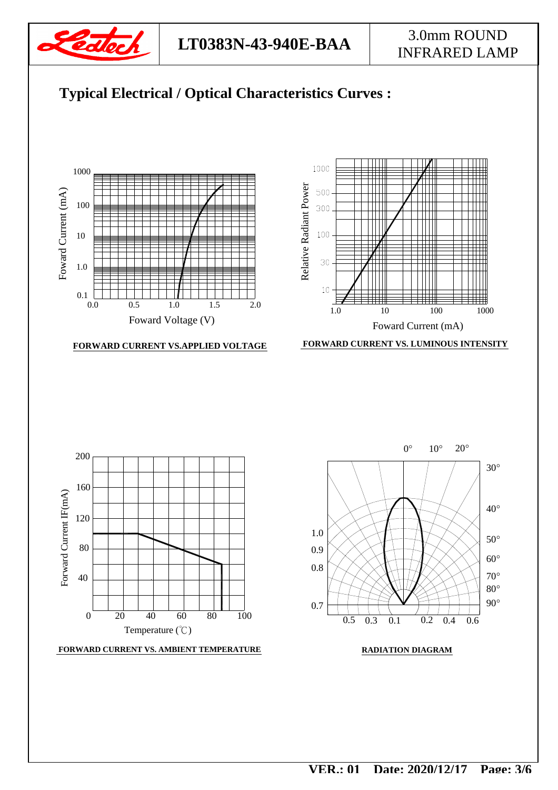

**LT0383N-43-940E-BAA** 3.0mm ROUND

# INFRARED LAMP









 **FORWARD CURRENT VS. LUMINOUS INTENSITY**



**FORWARD CURRENT VS. AMBIENT TEMPERATURE**



#### **RADIATION DIAGRAM**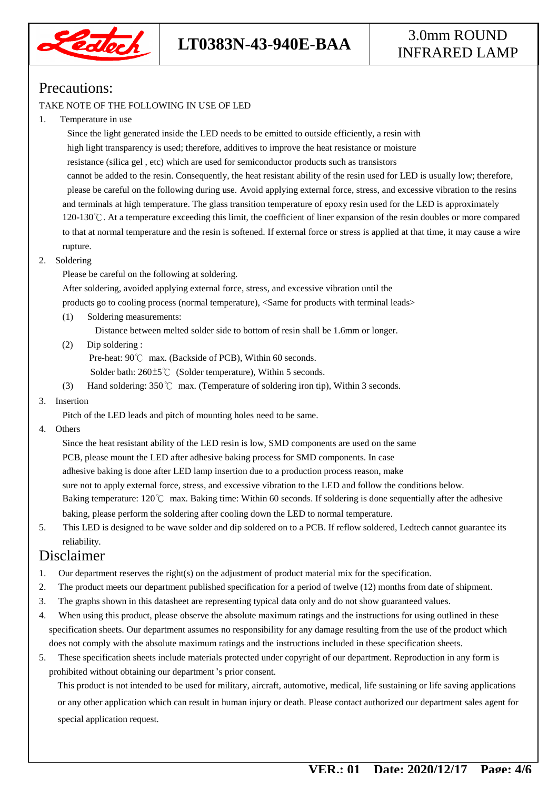

#### Precautions:

#### TAKE NOTE OF THE FOLLOWING IN USE OF LED

1. Temperature in use

 Since the light generated inside the LED needs to be emitted to outside efficiently, a resin with high light transparency is used; therefore, additives to improve the heat resistance or moisture resistance (silica gel , etc) which are used for semiconductor products such as transistors cannot be added to the resin. Consequently, the heat resistant ability of the resin used for LED is usually low; therefore, please be careful on the following during use. Avoid applying external force, stress, and excessive vibration to the resins and terminals at high temperature. The glass transition temperature of epoxy resin used for the LED is approximately 120-130℃. At a temperature exceeding this limit, the coefficient of liner expansion of the resin doubles or more compared to that at normal temperature and the resin is softened. If external force or stress is applied at that time, it may cause a wire rupture.

2. Soldering

Please be careful on the following at soldering.

After soldering, avoided applying external force, stress, and excessive vibration until the

products go to cooling process (normal temperature), <Same for products with terminal leads>

(1) Soldering measurements:

Distance between melted solder side to bottom of resin shall be 1.6mm or longer.

(2) Dip soldering :

Pre-heat: 90℃ max. (Backside of PCB), Within 60 seconds.

Solder bath: 260±5℃ (Solder temperature), Within 5 seconds.

- (3) Hand soldering: 350℃ max. (Temperature of soldering iron tip), Within 3 seconds.
- 3. Insertion

Pitch of the LED leads and pitch of mounting holes need to be same.

4. Others

 Since the heat resistant ability of the LED resin is low, SMD components are used on the same PCB, please mount the LED after adhesive baking process for SMD components. In case adhesive baking is done after LED lamp insertion due to a production process reason, make sure not to apply external force, stress, and excessive vibration to the LED and follow the conditions below. Baking temperature: 120℃ max. Baking time: Within 60 seconds. If soldering is done sequentially after the adhesive baking, please perform the soldering after cooling down the LED to normal temperature.

5. This LED is designed to be wave solder and dip soldered on to a PCB. If reflow soldered, Ledtech cannot guarantee its reliability.

#### Disclaimer

- 1. Our department reserves the right(s) on the adjustment of product material mix for the specification.
- 2. The product meets our department published specification for a period of twelve (12) months from date of shipment.
- 3. The graphs shown in this datasheet are representing typical data only and do not show guaranteed values.
- 4. When using this product, please observe the absolute maximum ratings and the instructions for using outlined in these specification sheets. Our department assumes no responsibility for any damage resulting from the use of the product which does not comply with the absolute maximum ratings and the instructions included in these specification sheets.
- 5. These specification sheets include materials protected under copyright of our department. Reproduction in any form is prohibited without obtaining our department's prior consent.

This product is not intended to be used for military, aircraft, automotive, medical, life sustaining or life saving applications or any other application which can result in human injury or death. Please contact authorized our department sales agent for special application request.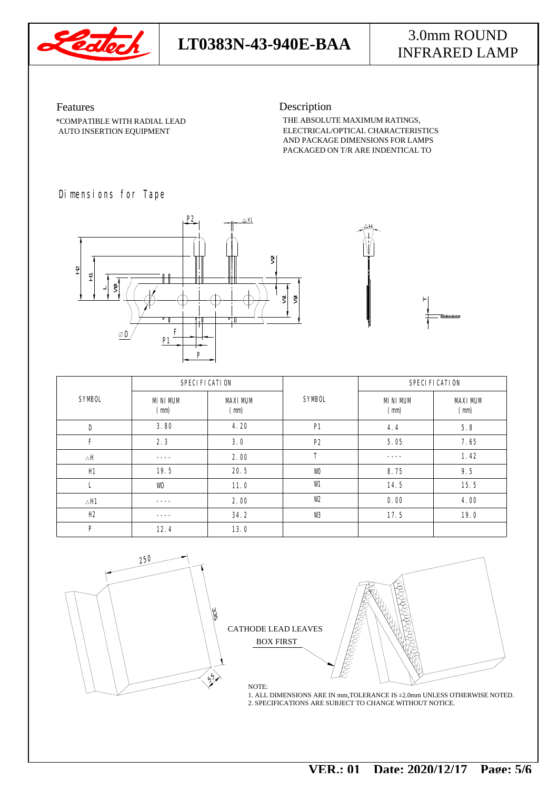

## **LT0383N-43-940E-BAA** 3.0mm ROUND

# INFRARED LAMP

AUTO INSERTION EQUIPMENT \*COMPATIBLE WITH RADIAL LEAD Features

Description

THE ABSOLUTE MAXIMUM RATINGS, PACKAGED ON T/R ARE INDENTICAL TO AND PACKAGE DIMENSIONS FOR LAMPS ELECTRICAL/OPTICAL CHARACTERISTICS

#### Dimensions for Tape



|                        | SPECIFICATION                    |                                  |               | SPECIFICATION                    |                                  |  |
|------------------------|----------------------------------|----------------------------------|---------------|----------------------------------|----------------------------------|--|
| <b>SYMBOL</b>          | <b>MNIMM</b><br>$(\blacksquare)$ | <b>MXIMM</b><br>$(\blacksquare)$ | <b>SYMBOL</b> | <b>MNIMM</b><br>$(\blacksquare)$ | <b>MXIMM</b><br>$(\blacksquare)$ |  |
| D                      | 3.80                             | 4.20                             | $\mathbf{H}$  | 4.4                              | 5.8                              |  |
| F                      | 2.3                              | 30                               | P2            | 5.05                             | 7.65                             |  |
| $\triangle \mathbf{H}$ | ----                             | 2.00                             | T             | ----                             | 1.42                             |  |
| H                      | 19.5                             | 20.5                             | w             | 8.75                             | 9.5                              |  |
| L                      | w                                | 11.0                             | W             | 14.5                             | 15.5                             |  |
| $\triangle \mathbf{H}$ | ----                             | 2.00                             | w             | 0.00                             | 4.00                             |  |
| I£                     | ----                             | 34.2                             | w             | 17.5                             | 19.0                             |  |
| P                      | 12.4                             | 13.0                             |               |                                  |                                  |  |





 $\blacksquare$ 

NOTE: 2. SPECIFICATIONS ARE SUBJECT TO CHANGE WITHOUT NOTICE. 1. ALL DIMENSIONS ARE IN mm,TOLERANCE IS ±2.0mm UNLESS OTHERWISE NOTED.